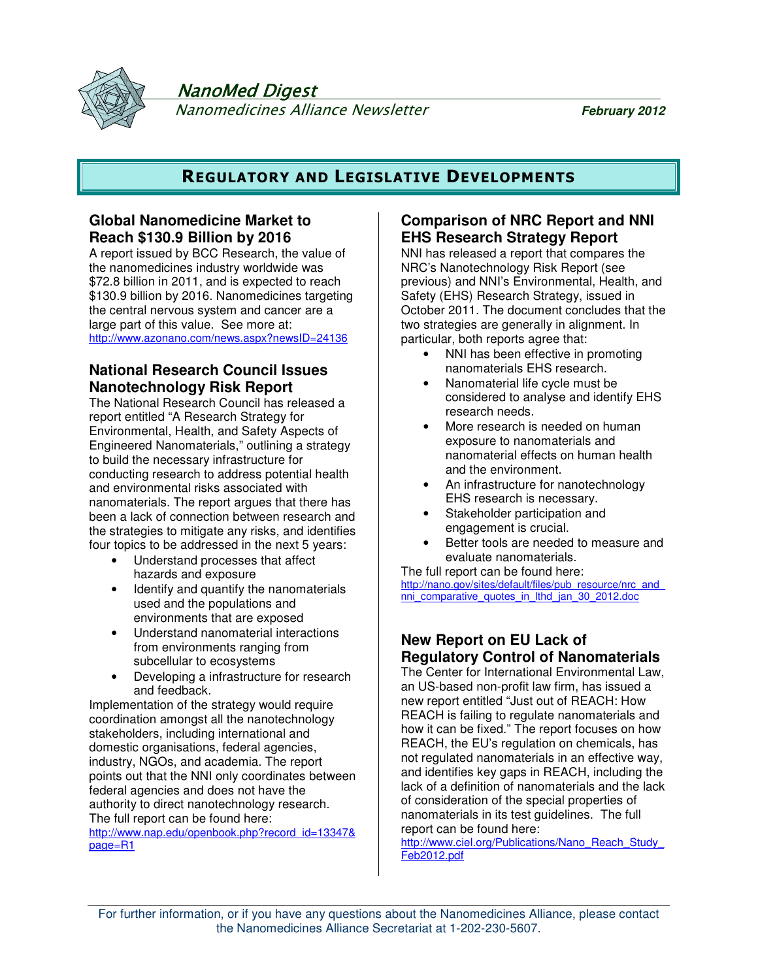

NanoMed Digest

Nanomedicines Alliance Newsletter **February 2012**

# **REGULATORY AND LEGISLATIVE DEVELOPMENTS**

## **Global Nanomedicine Market to Reach \$130.9 Billion by 2016**

A report issued by BCC Research, the value of the nanomedicines industry worldwide was \$72.8 billion in 2011, and is expected to reach \$130.9 billion by 2016. Nanomedicines targeting the central nervous system and cancer are a large part of this value. See more at: http://www.azonano.com/news.aspx?newsID=24136

# **National Research Council Issues Nanotechnology Risk Report**

The National Research Council has released a report entitled "A Research Strategy for Environmental, Health, and Safety Aspects of Engineered Nanomaterials," outlining a strategy to build the necessary infrastructure for conducting research to address potential health and environmental risks associated with nanomaterials. The report argues that there has been a lack of connection between research and the strategies to mitigate any risks, and identifies four topics to be addressed in the next 5 years:

- Understand processes that affect hazards and exposure
- Identify and quantify the nanomaterials used and the populations and environments that are exposed
- Understand nanomaterial interactions from environments ranging from subcellular to ecosystems
- Developing a infrastructure for research and feedback.

Implementation of the strategy would require coordination amongst all the nanotechnology stakeholders, including international and domestic organisations, federal agencies, industry, NGOs, and academia. The report points out that the NNI only coordinates between federal agencies and does not have the authority to direct nanotechnology research. The full report can be found here:

http://www.nap.edu/openbook.php?record\_id=13347& page=R1

## **Comparison of NRC Report and NNI EHS Research Strategy Report**

NNI has released a report that compares the NRC's Nanotechnology Risk Report (see previous) and NNI's Environmental, Health, and Safety (EHS) Research Strategy, issued in October 2011. The document concludes that the two strategies are generally in alignment. In particular, both reports agree that:

- NNI has been effective in promoting nanomaterials EHS research.
- Nanomaterial life cycle must be considered to analyse and identify EHS research needs.
- More research is needed on human exposure to nanomaterials and nanomaterial effects on human health and the environment.
- An infrastructure for nanotechnology EHS research is necessary.
- Stakeholder participation and engagement is crucial.
- Better tools are needed to measure and evaluate nanomaterials.

The full report can be found here: http://nano.gov/sites/default/files/pub\_resource/nrc\_and nni\_comparative\_quotes\_in\_lthd\_jan\_30\_2012.doc

# **New Report on EU Lack of Regulatory Control of Nanomaterials**

The Center for International Environmental Law, an US-based non-profit law firm, has issued a new report entitled "Just out of REACH: How REACH is failing to regulate nanomaterials and how it can be fixed." The report focuses on how REACH, the EU's regulation on chemicals, has not regulated nanomaterials in an effective way, and identifies key gaps in REACH, including the lack of a definition of nanomaterials and the lack of consideration of the special properties of nanomaterials in its test guidelines. The full report can be found here:

http://www.ciel.org/Publications/Nano\_Reach\_Study Feb2012.pdf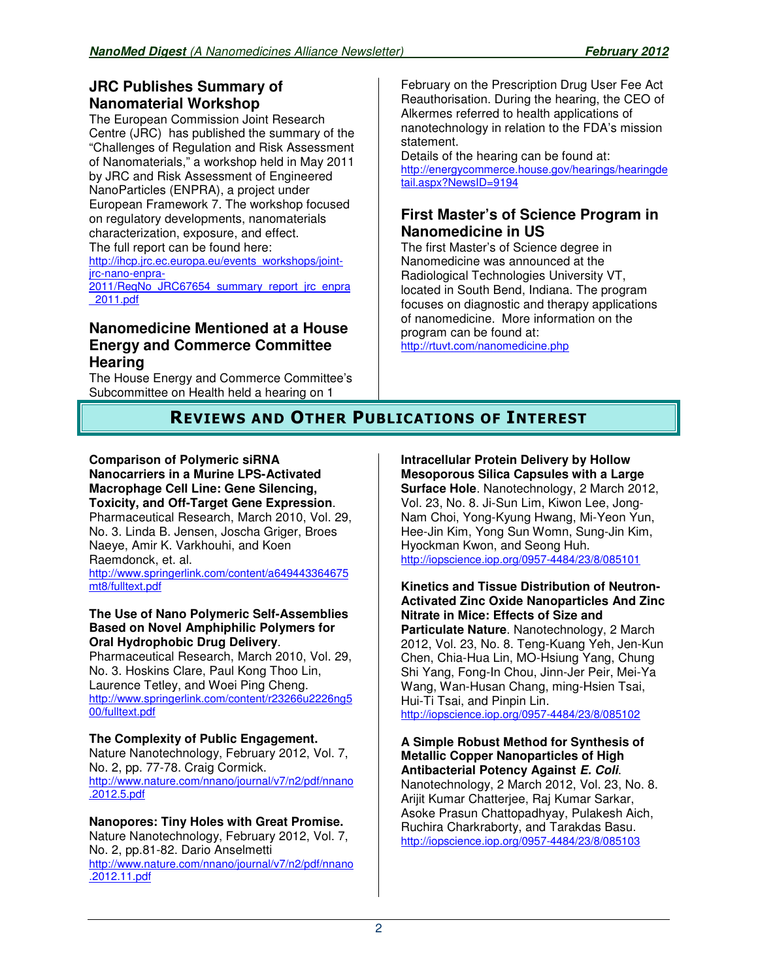# **JRC Publishes Summary of Nanomaterial Workshop**

The European Commission Joint Research Centre (JRC) has published the summary of the "Challenges of Regulation and Risk Assessment of Nanomaterials," a workshop held in May 2011 by JRC and Risk Assessment of Engineered NanoParticles (ENPRA), a project under European Framework 7. The workshop focused on regulatory developments, nanomaterials characterization, exposure, and effect. The full report can be found here:

http://ihcp.jrc.ec.europa.eu/events\_workshops/jointjrc-nano-enpra-

2011/ReqNo\_JRC67654\_summary\_report\_jrc\_enpra \_2011.pdf

## **Nanomedicine Mentioned at a House Energy and Commerce Committee Hearing**

The House Energy and Commerce Committee's Subcommittee on Health held a hearing on 1

February on the Prescription Drug User Fee Act Reauthorisation. During the hearing, the CEO of Alkermes referred to health applications of nanotechnology in relation to the FDA's mission statement.

Details of the hearing can be found at: http://energycommerce.house.gov/hearings/hearingde tail.aspx?NewsID=9194

## **First Master's of Science Program in Nanomedicine in US**

The first Master's of Science degree in Nanomedicine was announced at the Radiological Technologies University VT, located in South Bend, Indiana. The program focuses on diagnostic and therapy applications of nanomedicine. More information on the program can be found at:

http://rtuvt.com/nanomedicine.php

# **REVIEWS AND OTHER PUBLICATIONS OF INTEREST**

#### **Comparison of Polymeric siRNA Nanocarriers in a Murine LPS-Activated Macrophage Cell Line: Gene Silencing, Toxicity, and Off-Target Gene Expression**. Pharmaceutical Research, March 2010, Vol. 29, No. 3. Linda B. Jensen, Joscha Griger, Broes Naeye, Amir K. Varkhouhi, and Koen Raemdonck, et. al.

http://www.springerlink.com/content/a649443364675

mt8/fulltext.pdf

## **The Use of Nano Polymeric Self-Assemblies Based on Novel Amphiphilic Polymers for Oral Hydrophobic Drug Delivery**.

Pharmaceutical Research, March 2010, Vol. 29, No. 3. Hoskins Clare, Paul Kong Thoo Lin, Laurence Tetley, and Woei Ping Cheng. http://www.springerlink.com/content/r23266u2226ng5 00/fulltext.pdf

## **The Complexity of Public Engagement.**

Nature Nanotechnology, February 2012, Vol. 7, No. 2, pp. 77-78. Craig Cormick. http://www.nature.com/nnano/journal/v7/n2/pdf/nnano .2012.5.pdf

#### **Nanopores: Tiny Holes with Great Promise.** Nature Nanotechnology, February 2012, Vol. 7, No. 2, pp.81-82. Dario Anselmetti http://www.nature.com/nnano/journal/v7/n2/pdf/nnano .2012.11.pdf

# **Intracellular Protein Delivery by Hollow Mesoporous Silica Capsules with a Large**

**Surface Hole**. Nanotechnology, 2 March 2012, Vol. 23, No. 8. Ji-Sun Lim, Kiwon Lee, Jong-Nam Choi, Yong-Kyung Hwang, Mi-Yeon Yun, Hee-Jin Kim, Yong Sun Womn, Sung-Jin Kim, Hyockman Kwon, and Seong Huh. http://iopscience.iop.org/0957-4484/23/8/085101

### **Kinetics and Tissue Distribution of Neutron-Activated Zinc Oxide Nanoparticles And Zinc Nitrate in Mice: Effects of Size and**

**Particulate Nature**. Nanotechnology, 2 March 2012, Vol. 23, No. 8. Teng-Kuang Yeh, Jen-Kun Chen, Chia-Hua Lin, MO-Hsiung Yang, Chung Shi Yang, Fong-In Chou, Jinn-Jer Peir, Mei-Ya Wang, Wan-Husan Chang, ming-Hsien Tsai, Hui-Ti Tsai, and Pinpin Lin. http://iopscience.iop.org/0957-4484/23/8/085102

**A Simple Robust Method for Synthesis of Metallic Copper Nanoparticles of High Antibacterial Potency Against E. Coli**. Nanotechnology, 2 March 2012, Vol. 23, No. 8. Arijit Kumar Chatterjee, Raj Kumar Sarkar, Asoke Prasun Chattopadhyay, Pulakesh Aich, Ruchira Charkraborty, and Tarakdas Basu. http://iopscience.iop.org/0957-4484/23/8/085103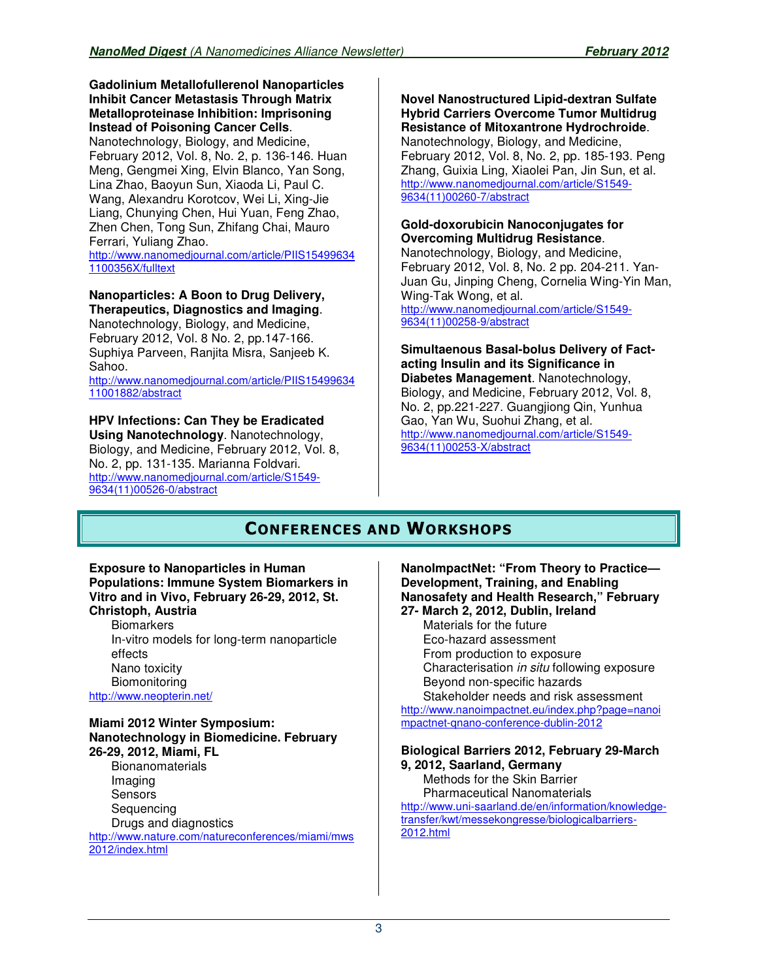#### **Gadolinium Metallofullerenol Nanoparticles Inhibit Cancer Metastasis Through Matrix Metalloproteinase Inhibition: Imprisoning Instead of Poisoning Cancer Cells**.

Nanotechnology, Biology, and Medicine, February 2012, Vol. 8, No. 2, p. 136-146. Huan Meng, Gengmei Xing, Elvin Blanco, Yan Song, Lina Zhao, Baoyun Sun, Xiaoda Li, Paul C. Wang, Alexandru Korotcov, Wei Li, Xing-Jie Liang, Chunying Chen, Hui Yuan, Feng Zhao, Zhen Chen, Tong Sun, Zhifang Chai, Mauro Ferrari, Yuliang Zhao.

http://www.nanomedjournal.com/article/PIIS15499634 1100356X/fulltext

## **Nanoparticles: A Boon to Drug Delivery, Therapeutics, Diagnostics and Imaging**.

Nanotechnology, Biology, and Medicine, February 2012, Vol. 8 No. 2, pp.147-166. Suphiya Parveen, Ranjita Misra, Sanjeeb K. Sahoo.

http://www.nanomedjournal.com/article/PIIS15499634 11001882/abstract

#### **HPV Infections: Can They be Eradicated Using Nanotechnology**. Nanotechnology,

Biology, and Medicine, February 2012, Vol. 8, No. 2, pp. 131-135. Marianna Foldvari. http://www.nanomedjournal.com/article/S1549- 9634(11)00526-0/abstract

#### **Novel Nanostructured Lipid-dextran Sulfate Hybrid Carriers Overcome Tumor Multidrug Resistance of Mitoxantrone Hydrochroide**.

Nanotechnology, Biology, and Medicine, February 2012, Vol. 8, No. 2, pp. 185-193. Peng Zhang, Guixia Ling, Xiaolei Pan, Jin Sun, et al. http://www.nanomedjournal.com/article/S1549- 9634(11)00260-7/abstract

## **Gold-doxorubicin Nanoconjugates for Overcoming Multidrug Resistance**.

Nanotechnology, Biology, and Medicine, February 2012, Vol. 8, No. 2 pp. 204-211. Yan-Juan Gu, Jinping Cheng, Cornelia Wing-Yin Man, Wing-Tak Wong, et al. http://www.nanomedjournal.com/article/S1549- 9634(11)00258-9/abstract

#### **Simultaenous Basal-bolus Delivery of Factacting Insulin and its Significance in Diabetes Management**. Nanotechnology, Biology, and Medicine, February 2012, Vol. 8, No. 2, pp.221-227. Guangjiong Qin, Yunhua Gao, Yan Wu, Suohui Zhang, et al. http://www.nanomedjournal.com/article/S1549- 9634(11)00253-X/abstract

# **CONFERENCES AND WORKSHOPS**

#### **Exposure to Nanoparticles in Human Populations: Immune System Biomarkers in Vitro and in Vivo, February 26-29, 2012, St. Christoph, Austria**

**Biomarkers** In-vitro models for long-term nanoparticle effects Nano toxicity **Biomonitoring** http://www.neopterin.net/

#### **Miami 2012 Winter Symposium: Nanotechnology in Biomedicine. February 26-29, 2012, Miami, FL Bionanomaterials** Imaging **Sensors Sequencing**

Drugs and diagnostics http://www.nature.com/natureconferences/miami/mws 2012/index.html

#### **NanoImpactNet: "From Theory to Practice— Development, Training, and Enabling Nanosafety and Health Research," February 27- March 2, 2012, Dublin, Ireland**

Materials for the future Eco-hazard assessment From production to exposure Characterisation in situ following exposure Beyond non-specific hazards

Stakeholder needs and risk assessment http://www.nanoimpactnet.eu/index.php?page=nanoi mpactnet-qnano-conference-dublin-2012

### **Biological Barriers 2012, February 29-March 9, 2012, Saarland, Germany**

Methods for the Skin Barrier Pharmaceutical Nanomaterials http://www.uni-saarland.de/en/information/knowledgetransfer/kwt/messekongresse/biologicalbarriers-2012.html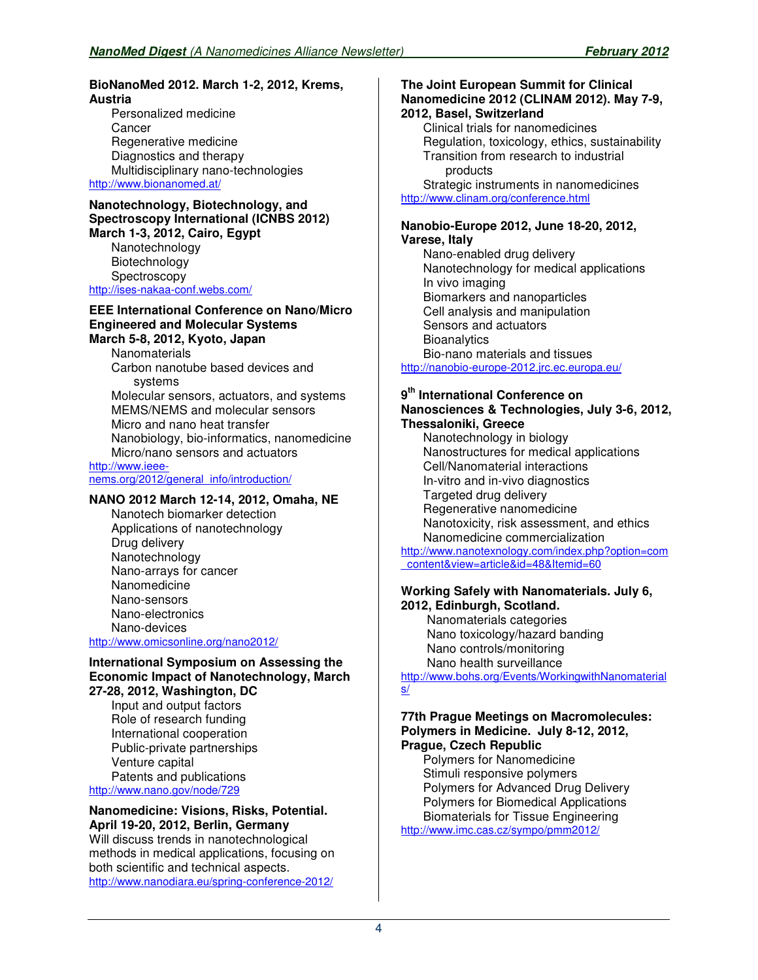#### **BioNanoMed 2012. March 1-2, 2012, Krems, Austria**

Personalized medicine **Cancer** Regenerative medicine Diagnostics and therapy Multidisciplinary nano-technologies http://www.bionanomed.at/

#### **Nanotechnology, Biotechnology, and Spectroscopy International (ICNBS 2012) March 1-3, 2012, Cairo, Egypt**

Nanotechnology Biotechnology **Spectroscopy** http://ises-nakaa-conf.webs.com/

#### **EEE International Conference on Nano/Micro Engineered and Molecular Systems March 5-8, 2012, Kyoto, Japan**

**Nanomaterials** Carbon nanotube based devices and systems Molecular sensors, actuators, and systems MEMS/NEMS and molecular sensors Micro and nano heat transfer Nanobiology, bio-informatics, nanomedicine Micro/nano sensors and actuators http://www.ieee-

nems.org/2012/general\_info/introduction/

### **NANO 2012 March 12-14, 2012, Omaha, NE**

Nanotech biomarker detection Applications of nanotechnology Drug delivery Nanotechnology Nano-arrays for cancer **Nanomedicine** Nano-sensors Nano-electronics Nano-devices

## http://www.omicsonline.org/nano2012/

#### **International Symposium on Assessing the Economic Impact of Nanotechnology, March 27-28, 2012, Washington, DC**

Input and output factors Role of research funding International cooperation Public-private partnerships Venture capital Patents and publications http://www.nano.gov/node/729

#### **Nanomedicine: Visions, Risks, Potential. April 19-20, 2012, Berlin, Germany**

Will discuss trends in nanotechnological methods in medical applications, focusing on both scientific and technical aspects. http://www.nanodiara.eu/spring-conference-2012/

#### **The Joint European Summit for Clinical Nanomedicine 2012 (CLINAM 2012). May 7-9, 2012, Basel, Switzerland**

Clinical trials for nanomedicines Regulation, toxicology, ethics, sustainability Transition from research to industrial products Strategic instruments in nanomedicines

http://www.clinam.org/conference.html

#### **Nanobio-Europe 2012, June 18-20, 2012, Varese, Italy**

Nano-enabled drug delivery Nanotechnology for medical applications In vivo imaging Biomarkers and nanoparticles Cell analysis and manipulation Sensors and actuators **Bioanalytics** Bio-nano materials and tissues http://nanobio-europe-2012.jrc.ec.europa.eu/

#### **9 th International Conference on Nanosciences & Technologies, July 3-6, 2012, Thessaloniki, Greece**

Nanotechnology in biology Nanostructures for medical applications Cell/Nanomaterial interactions In-vitro and in-vivo diagnostics Targeted drug delivery Regenerative nanomedicine Nanotoxicity, risk assessment, and ethics Nanomedicine commercialization http://www.nanotexnology.com/index.php?option=com \_content&view=article&id=48&Itemid=60

#### **Working Safely with Nanomaterials. July 6, 2012, Edinburgh, Scotland.**

 Nanomaterials categories Nano toxicology/hazard banding Nano controls/monitoring Nano health surveillance http://www.bohs.org/Events/WorkingwithNanomaterial s/

#### **77th Prague Meetings on Macromolecules: Polymers in Medicine. July 8-12, 2012, Prague, Czech Republic**

Polymers for Nanomedicine Stimuli responsive polymers Polymers for Advanced Drug Delivery Polymers for Biomedical Applications Biomaterials for Tissue Engineering http://www.imc.cas.cz/sympo/pmm2012/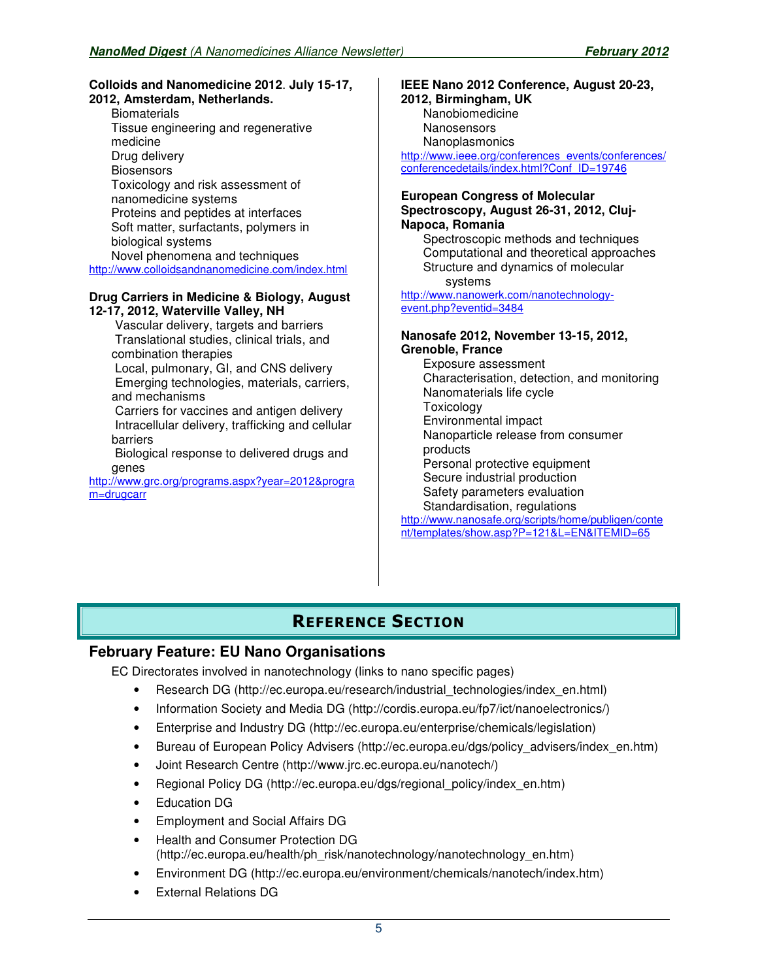#### **Colloids and Nanomedicine 2012**. **July 15-17, 2012, Amsterdam, Netherlands.**

**Biomaterials** Tissue engineering and regenerative medicine Drug delivery **Biosensors** Toxicology and risk assessment of nanomedicine systems Proteins and peptides at interfaces Soft matter, surfactants, polymers in biological systems Novel phenomena and techniques http://www.colloidsandnanomedicine.com/index.html

#### **Drug Carriers in Medicine & Biology, August 12-17, 2012, Waterville Valley, NH**

 Vascular delivery, targets and barriers Translational studies, clinical trials, and combination therapies

 Local, pulmonary, GI, and CNS delivery Emerging technologies, materials, carriers, and mechanisms

 Carriers for vaccines and antigen delivery Intracellular delivery, trafficking and cellular barriers

 Biological response to delivered drugs and genes

http://www.grc.org/programs.aspx?year=2012&progra m=drugcarr

#### **IEEE Nano 2012 Conference, August 20-23, 2012, Birmingham, UK** Nanobiomedicine **Nanosensors** Nanoplasmonics http://www.ieee.org/conferences\_events/conferences/

conferencedetails/index.html?Conf\_ID=19746

#### **European Congress of Molecular Spectroscopy, August 26-31, 2012, Cluj-Napoca, Romania**

Spectroscopic methods and techniques Computational and theoretical approaches Structure and dynamics of molecular systems

http://www.nanowerk.com/nanotechnologyevent.php?eventid=3484

#### **Nanosafe 2012, November 13-15, 2012, Grenoble, France**

Exposure assessment Characterisation, detection, and monitoring Nanomaterials life cycle **Toxicology** Environmental impact Nanoparticle release from consumer products Personal protective equipment Secure industrial production Safety parameters evaluation Standardisation, regulations http://www.nanosafe.org/scripts/home/publigen/conte

nt/templates/show.asp?P=121&L=EN&ITEMID=65

# **REFERENCE SECTION**

## **February Feature: EU Nano Organisations**

EC Directorates involved in nanotechnology (links to nano specific pages)

- Research DG (http://ec.europa.eu/research/industrial technologies/index en.html)
- Information Society and Media DG (http://cordis.europa.eu/fp7/ict/nanoelectronics/)
- Enterprise and Industry DG (http://ec.europa.eu/enterprise/chemicals/legislation)
- Bureau of European Policy Advisers (http://ec.europa.eu/dgs/policy advisers/index en.htm)
- Joint Research Centre (http://www.jrc.ec.europa.eu/nanotech/)
- Regional Policy DG (http://ec.europa.eu/dgs/regional\_policy/index\_en.htm)
- Education DG
- Employment and Social Affairs DG
- Health and Consumer Protection DG (http://ec.europa.eu/health/ph\_risk/nanotechnology/nanotechnology\_en.htm)
- Environment DG (http://ec.europa.eu/environment/chemicals/nanotech/index.htm)
- External Relations DG